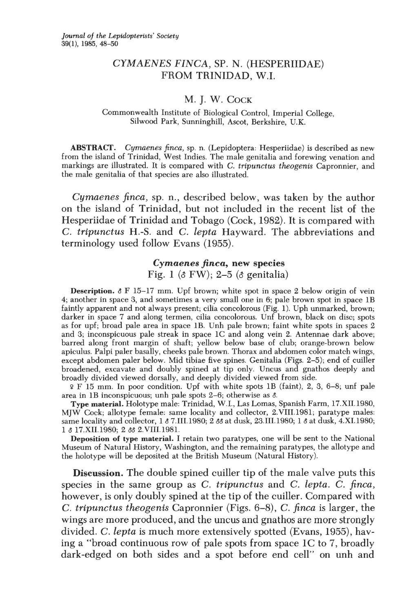# CYMAENES FINCA, SP. N. (HESPERIIDAE) FROM TRINIDAD, W.I.

### M. J. W. COCK

#### Commonwealth Institute of Biological Control, Imperial College, Silwood Park, Sunninghill, Ascot, Berkshire, U.K.

ABSTRACT. *Cymaenes jinca,* sp. n. (Lepidoptera: Hesperiidae) is described as new from the island of Trinidad, West Indies. The male genitalia and forewing venation and markings are illustrated. It is compared with C. *tripunctus theogenis* Capronnier, and the male genitalia of that species are also illustrated.

*Cymaenes jinca,* sp. n., described below, was taken by the author on the island of Trinidad, but not included in the recent list of the Hesperiidae of Trinidad and Tobago (Cock, 1982). It is compared with C. *tripunctus* H.-S. and C. *lepta* Hayward. The abbreviations and terminology used follow Evans (1955).

## *Cymaenes finea,* new species

Fig. 1 ( $\delta$  FW); 2–5 ( $\delta$  genitalia)

**Description.**  $\delta$  F 15-17 mm. Upf brown; white spot in space 2 below origin of vein 4; another in space 3, and sometimes a very small one in 6; pale brown spot in space IB faintly apparent and not always present; cilia concolorous (Fig. 1). Uph unmarked, brown; darker in space 7 and along termen, cilia concolorous. Unf brown, black on disc; spots as for upf; broad pale area in space lB. Unh pale brown; faint white spots in spaces 2 and 3; inconspicuous pale streak in space lC and along vein 2. Antennae dark above; barred along front margin of shaft; yellow below base of club; orange-brown below apiculus. Palpi paler basally, cheeks pale brown. Thorax and abdomen color match wings, except abdomen paler below. Mid tibiae five spines. Genitalia (Figs. 2-5); end of cuiller broadened, excavate and doubly spined at tip only. Uncus and gnathos deeply and broadly divided viewed dorsally, and deeply divided viewed from side.

'i' F 15 mm. In poor condition. Upf with white spots IB (faint), 2, 3, 6-8; unf pale area in IB inconspicuous; unh pale spots 2-6; otherwise as d.

Type material. Holotype male: Trinidad, W.l., Las Lomas, Spanish Farm, 17.XII.1980, MJW Cock; allotype female: same locality and collector, 2.VIII.1981; paratype males: same locality and collector, 1  $\delta$  7.III.1980; 2  $\delta \delta$  at dusk, 23.III.1980; 1  $\delta$  at dusk, 4.XI.1980; 1  $\delta$  17.XII.1980; 2  $\delta \delta$  2.VIII.1981.

Deposition of type material. I retain two paratypes, one will be sent to the National Museum of Natural History, Washington, and the remaining paratypes, the allotype and the holotype will be deposited at the British Museum (Natural History).

Discussion. The double spined cuiller tip of the male valve puts this species in the same group as C. *tripunctus* and C. *lepta.* C. *jinca,*  however, is only doubly spined at the tip of the cuiller. Compared with C. *tripunctus theogenis* Capronnier (Figs. 6-8), C. *jinca* is larger, the wings are more produced, and the uncus and gnathos are more strongly divided. C. *lepta* is much more extensively spotted (Evans, 1955), having a "broad continuous row of pale spots from space  $1C$  to 7, broadly dark-edged on both sides and a spot before end cell" on unh and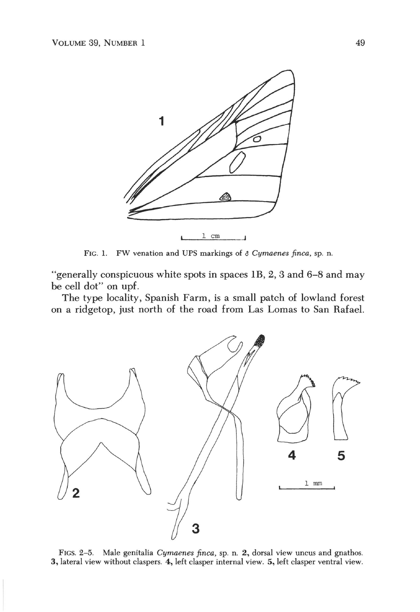

FIG. 1. FW venation and UPS markings of & *Cymaenes finea,* sp. n.

"generally conspicuous white spots in spaces IB, 2, 3 and 6-8 and may be cell dot" on upf.

The type locality, Spanish Farm, is a small patch of lowland forest on a ridgetop, just north of the road from Las Lomas to San Rafael.



FIGS. 2-5. Male genitalia *Cymaenes finea,* sp. n. 2, dorsal view uncus and gnathos. 3, lateral view without claspers. 4, left clasper internal view. 5, left clasper ventral view.